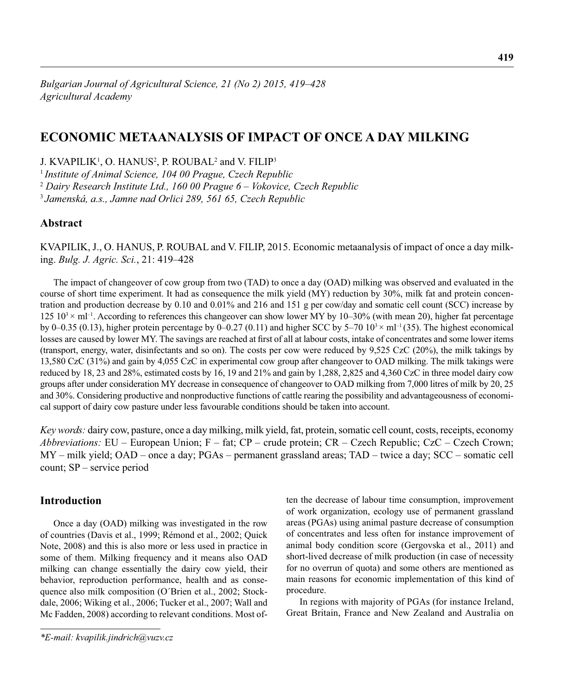# **ECONOMIC METAANALYSIS OF IMPACT OF ONCE A DAY MILKING**

J. KVAPILIK<sup>1</sup>, O. HANUS<sup>2</sup>, P. ROUBAL<sup>2</sup> and V. FILIP<sup>3</sup>

<sup>1</sup>*Institute of Animal Science, 104 00 Prague, Czech Republic*

<sup>2</sup> *Dairy Research Institute Ltd., 160 00 Prague 6 – Vokovice, Czech Republic*

<sup>3</sup>*Jamenská, a.s., Jamne nad Orlici 289, 561 65, Czech Republic*

## **Abstract**

KVAPILIK, J., O. HANUS, P. ROUBAL and V. FILIP, 2015. Economic metaanalysis of impact of once a day milking. *Bulg. J. Agric. Sci.*, 21: 419–428

The impact of changeover of cow group from two (TAD) to once a day (OAD) milking was observed and evaluated in the course of short time experiment. It had as consequence the milk yield (MY) reduction by 30%, milk fat and protein concentration and production decrease by 0.10 and 0.01% and 216 and 151 g per cow/day and somatic cell count (SCC) increase by  $125 \text{ 10}^3 \times \text{ml}^{-1}$ . According to references this changeover can show lower MY by 10–30% (with mean 20), higher fat percentage by 0–0.35 (0.13), higher protein percentage by 0–0.27 (0.11) and higher SCC by 5–70  $10<sup>3</sup> \times$  ml<sup>-1</sup> (35). The highest economical losses are caused by lower MY. The savings are reached at first of all at labour costs, intake of concentrates and some lower items (transport, energy, water, disinfectants and so on). The costs per cow were reduced by 9,525 CzC (20%), the milk takings by 13,580 CzC (31%) and gain by 4,055 CzC in experimental cow group after changeover to OAD milking. The milk takings were reduced by 18, 23 and 28%, estimated costs by 16, 19 and 21% and gain by 1,288, 2,825 and 4,360 CzC in three model dairy cow groups after under consideration MY decrease in consequence of changeover to OAD milking from 7,000 litres of milk by 20, 25 and 30%. Considering productive and nonproductive functions of cattle rearing the possibility and advantageousness of economical support of dairy cow pasture under less favourable conditions should be taken into account.

*Key words:* dairy cow, pasture, once a day milking, milk yield, fat, protein, somatic cell count, costs, receipts, economy *Abbreviations:* EU – European Union; F – fat; CP – crude protein; CR – Czech Republic; CzC – Czech Crown; MY – milk yield; OAD – once a day; PGAs – permanent grassland areas; TAD – twice a day; SCC – somatic cell count; SP – service period

## **Introduction**

Once a day (OAD) milking was investigated in the row of countries (Davis et al., 1999; Rémond et al., 2002; Quick Note, 2008) and this is also more or less used in practice in some of them. Milking frequency and it means also OAD milking can change essentially the dairy cow yield, their behavior, reproduction performance, health and as consequence also milk composition (O´Brien et al., 2002; Stockdale, 2006; Wiking et al., 2006; Tucker et al., 2007; Wall and Mc Fadden, 2008) according to relevant conditions. Most of-

ten the decrease of labour time consumption, improvement of work organization, ecology use of permanent grassland areas (PGAs) using animal pasture decrease of consumption of concentrates and less often for instance improvement of animal body condition score (Gergovska et al., 2011) and short-lived decrease of milk production (in case of necessity for no overrun of quota) and some others are mentioned as main reasons for economic implementation of this kind of procedure.

In regions with majority of PGAs (for instance Ireland, Great Britain, France and New Zealand and Australia on

*<sup>\*</sup>E-mail: kvapilik.jindrich@vuzv.cz*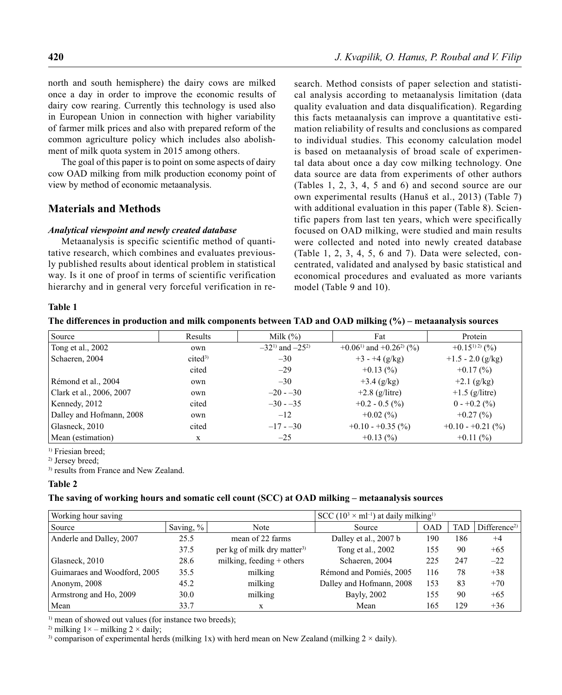north and south hemisphere) the dairy cows are milked once a day in order to improve the economic results of dairy cow rearing. Currently this technology is used also in European Union in connection with higher variability of farmer milk prices and also with prepared reform of the common agriculture policy which includes also abolishment of milk quota system in 2015 among others.

The goal of this paper is to point on some aspects of dairy cow OAD milking from milk production economy point of view by method of economic metaanalysis.

## **Materials and Methods**

#### *Analytical viewpoint and newly created database*

Metaanalysis is specific scientific method of quantitative research, which combines and evaluates previously published results about identical problem in statistical way. Is it one of proof in terms of scientific verification hierarchy and in general very forceful verification in research. Method consists of paper selection and statistical analysis according to metaanalysis limitation (data quality evaluation and data disqualification). Regarding this facts metaanalysis can improve a quantitative estimation reliability of results and conclusions as compared to individual studies. This economy calculation model is based on metaanalysis of broad scale of experimental data about once a day cow milking technology. One data source are data from experiments of other authors (Tables 1, 2, 3, 4, 5 and 6) and second source are our own experimental results (Hanuš et al., 2013) (Table 7) with additional evaluation in this paper (Table 8). Scientific papers from last ten years, which were specifically focused on OAD milking, were studied and main results were collected and noted into newly created database (Table 1, 2, 3, 4, 5, 6 and 7). Data were selected, concentrated, validated and analysed by basic statistical and economical procedures and evaluated as more variants model (Table 9 and 10).

### **Table 1**

|  |  | The differences in production and milk components between TAD and OAD milking (%) – metaanalysis sources |  |  |  |
|--|--|----------------------------------------------------------------------------------------------------------|--|--|--|
|--|--|----------------------------------------------------------------------------------------------------------|--|--|--|

| Source                   | Results            | Milk $(\%)$             | Fat                                           | Protein             |
|--------------------------|--------------------|-------------------------|-----------------------------------------------|---------------------|
| Tong et al., 2002        | own                | $-32^{1}$ and $-25^{2}$ | +0.06 <sup>1</sup> and +0.26 <sup>2</sup> (%) | $+0.15^{1/2}$ (%)   |
| Schaeren, 2004           | cited <sup>3</sup> | $-30$                   | $+3 - +4$ (g/kg)                              | $+1.5 - 2.0$ (g/kg) |
|                          | cited              | $-29$                   | $+0.13(%)$                                    | $+0.17(%)$          |
| Rémond et al., 2004      | own                | $-30$                   | $+3.4$ (g/kg)                                 | $+2.1$ (g/kg)       |
| Clark et al., 2006, 2007 | own                | $-20 - -30$             | $+2.8$ (g/litre)                              | $+1.5$ (g/litre)    |
| Kennedy, 2012            | cited              | $-30 - -35$             | $+0.2 - 0.5$ (%)                              | $0 - +0.2$ (%)      |
| Dalley and Hofmann, 2008 | own                | $-12$                   | $+0.02$ (%)                                   | $+0.27(%)$          |
| Glasneck, 2010           | cited              | $-17 - -30$             | $+0.10 - +0.35$ (%)                           | $+0.10 - +0.21$ (%) |
| Mean (estimation)        | X                  | $-25$                   | $+0.13(%)$                                    | $+0.11(%)$          |

<sup>1)</sup> Friesian breed;

2) Jersey breed;

3) results from France and New Zealand.

#### **Table 2**

### **The saving of working hours and somatic cell count (SCC) at OAD milking – metaanalysis sources**

| Working hour saving          |              |                                         | SCC ( $10^3 \times$ ml <sup>-1</sup> ) at daily milking <sup>1)</sup> |            |            |                          |
|------------------------------|--------------|-----------------------------------------|-----------------------------------------------------------------------|------------|------------|--------------------------|
| Source                       | Saving, $\%$ | Note                                    | Source                                                                | <b>OAD</b> | <b>TAD</b> | Difference <sup>2)</sup> |
| Anderle and Dalley, 2007     | 25.5         | mean of 22 farms                        | Dalley et al., 2007 b                                                 | 190        | 186        | $+4$                     |
|                              | 37.5         | per kg of milk dry matter <sup>3)</sup> | Tong et al., 2002                                                     | 155        | 90         | $+65$                    |
| Glasneck, 2010               | 28.6         | milking, feeding $+$ others             | Schaeren, 2004                                                        | 225        | 247        | $-22$                    |
| Guimaraes and Woodford, 2005 | 35.5         | milking                                 | Rémond and Pomiés, 2005                                               | 116        | 78         | $+38$                    |
| Anonym, 2008                 | 45.2         | milking                                 | Dalley and Hofmann, 2008                                              | 153        | 83         | $+70$                    |
| Armstrong and Ho, 2009       | 30.0         | milking                                 | Bayly, 2002                                                           | 155        | 90         | $+65$                    |
| Mean                         | 33.7         | X                                       | Mean                                                                  | 165        | 129        | $+36$                    |

<sup>1)</sup> mean of showed out values (for instance two breeds);

<sup>2)</sup> milking  $1 \times -$  milking  $2 \times$  daily;

<sup>3)</sup> comparison of experimental herds (milking 1x) with herd mean on New Zealand (milking  $2 \times$  daily).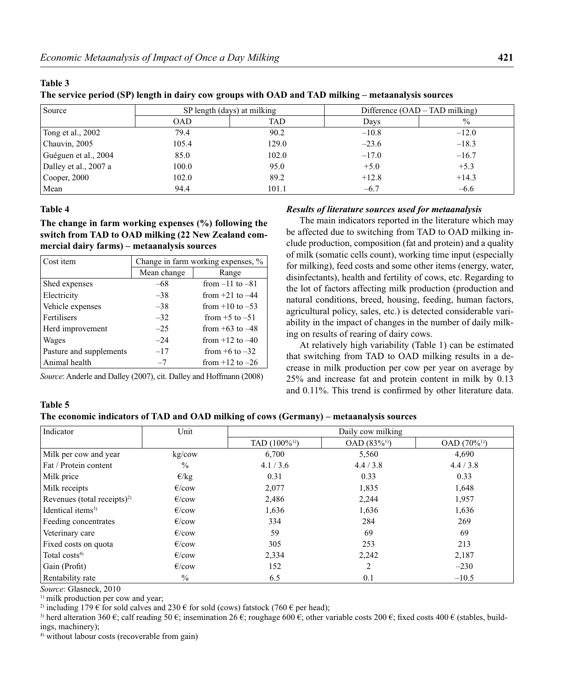| Source                | SP length (days) at milking |       | Difference $(OAD - TAD$ milking) |         |  |
|-----------------------|-----------------------------|-------|----------------------------------|---------|--|
|                       | <b>OAD</b>                  | TAD   | Davs                             | $\%$    |  |
| Tong et al., 2002     | 79.4                        | 90.2  | $-10.8$                          | $-12.0$ |  |
| Chauvin, 2005         | 105.4                       | 129.0 | $-23.6$                          | $-18.3$ |  |
| Guéguen et al., 2004  | 85.0                        | 102.0 | $-17.0$                          | $-16.7$ |  |
| Dalley et al., 2007 a | 100.0                       | 95.0  | $+5.0$                           | $+5.3$  |  |
| $\vert$ Cooper, 2000  | 102.0                       | 89.2  | $+12.8$                          | $+14.3$ |  |
| Mean                  | 94.4                        | 101.1 | $-6.7$                           | $-6.6$  |  |

**The service period (SP) length in dairy cow groups with OAD and TAD milking – metaanalysis sources**

## **Table 4**

**Table 5**

**The change in farm working expenses (%) following the switch from TAD to OAD milking (22 New Zealand commercial dairy farms) – metaanalysis sources**

| Cost item               | Change in farm working expenses, % |                     |  |  |  |
|-------------------------|------------------------------------|---------------------|--|--|--|
|                         | Mean change                        | Range               |  |  |  |
| Shed expenses           | $-68$                              | from $-11$ to $-81$ |  |  |  |
| Electricity             | $-38$                              | from $+21$ to $-44$ |  |  |  |
| Vehicle expenses        | $-38$                              | from $+10$ to $-53$ |  |  |  |
| Fertilisers             | $-32$                              | from $+5$ to $-51$  |  |  |  |
| Herd improvement        | $-25$                              | from $+63$ to $-48$ |  |  |  |
| Wages                   | $-24$                              | from $+12$ to $-40$ |  |  |  |
| Pasture and supplements | $-17$                              | from $+6$ to $-32$  |  |  |  |
| Animal health           | $-7$                               | from $+12$ to $-26$ |  |  |  |

*Source*: Anderle and Dalley (2007), cit. Dalley and Hoffmann (2008)

### *Results of literature sources used for metaanalysis*

The main indicators reported in the literature which may be affected due to switching from TAD to OAD milking include production, composition (fat and protein) and а quality of milk (somatic cells count), working time input (especially for milking), feed costs and some other items (energy, water, disinfectants), health and fertility of cows, etc. Regarding to the lot of factors affecting milk production (production and natural conditions, breed, housing, feeding, human factors, agricultural policy, sales, etc.) is detected considerable variability in the impact of changes in the number of daily milking on results of rearing of dairy cows.

At relatively high variability (Table 1) can be estimated that switching from TAD to OAD milking results in a decrease in milk production per cow per year on average by 25% and increase fat and protein content in milk by 0.13 and 0.11%. This trend is confirmed by other literature data.

## **The economic indicators of TAD and OAD milking of cows (Germany) – metaanalysis sources**

| Indicator                               | Unit            | Daily cow milking           |                       |              |  |  |
|-----------------------------------------|-----------------|-----------------------------|-----------------------|--------------|--|--|
|                                         |                 | TAD $(100\%)$ <sup>1)</sup> | $OAD (83\frac{9}{1})$ | OAD $(70\%)$ |  |  |
| Milk per cow and year                   | kg/cow          | 6,700                       | 5,560                 | 4,690        |  |  |
| Fat / Protein content                   | $\frac{0}{0}$   | 4.1 / 3.6                   | 4.4/3.8               | 4.4 / 3.8    |  |  |
| Milk price                              | E/kg            | 0.31                        | 0.33                  | 0.33         |  |  |
| Milk receipts                           | $E$ /cow        | 2,077                       | 1,835                 | 1,648        |  |  |
| Revenues (total receipts) <sup>2)</sup> | $E$ /cow        | 2,486                       | 2,244                 | 1,957        |  |  |
| Identical items <sup>3)</sup>           | $E$ /cow        | 1,636                       | 1,636                 | 1,636        |  |  |
| Feeding concentrates                    | $\epsilon$ /cow | 334                         | 284                   | 269          |  |  |
| Veterinary care                         | $E$ /cow        | 59                          | 69                    | 69           |  |  |
| Fixed costs on quota                    | $E$ /cow        | 305                         | 253                   | 213          |  |  |
| $\text{Total costs}^{4)}$               | $E$ /cow        | 2,334                       | 2,242                 | 2,187        |  |  |
| Gain (Profit)                           | $E$ /cow        | 152                         | $\overline{c}$        | $-230$       |  |  |
| Rentability rate                        | $\frac{0}{0}$   | 6.5                         | 0.1                   | $-10.5$      |  |  |

*Source*: Glasneck, 2010

<sup>1)</sup> milk production per cow and year;

<sup>2)</sup> including 179  $\epsilon$  for sold calves and 230  $\epsilon$  for sold (cows) fatstock (760  $\epsilon$  per head);

<sup>3)</sup> herd alteration 360 €; calf reading 50 €; insemination 26 €; roughage 600 €; other variable costs 200 €; fixed costs 400 € (stables, buildings, machinery);

4) without labour costs (recoverable from gain)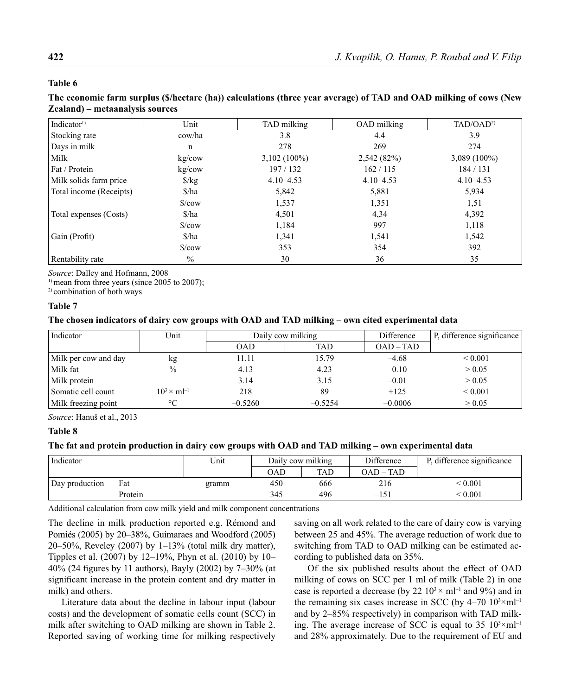## **The economic farm surplus (\$/hectare (ha)) calculations (three year average) of TAD and OAD milking of cows (New Zealand) – metaanalysis sources**

| Indicator <sup>1)</sup> | Unit                          | TAD milking    | OAD milking   | TAD/OAD <sup>2</sup> |
|-------------------------|-------------------------------|----------------|---------------|----------------------|
| Stocking rate           | cow/ha                        | 3.8            | 4.4           | 3.9                  |
| Days in milk            | $\mathbf n$                   | 278            | 269           | 274                  |
| Milk                    | kg/cow                        | $3,102(100\%)$ | 2,542(82%)    | $3,089(100\%)$       |
| Fat / Protein           | kg/cow                        | 197/132        | 162/115       | 184/131              |
| Milk solids farm price  | $\frac{\sqrt{2}}{2}$          | $4.10 - 4.53$  | $4.10 - 4.53$ | $4.10 - 4.53$        |
| Total income (Receipts) | $\frac{\pi}{2}$               | 5,842          | 5,881         | 5,934                |
|                         | $\sqrt{\text{c}}$             | 1,537          | 1,351         | 1,51                 |
| Total expenses (Costs)  | $\frac{\text{}}{\text{ha}}$   | 4,501          | 4,34          | 4,392                |
|                         | $\frac{\text{S}}{\text{cow}}$ | 1,184          | 997           | 1,118                |
| Gain (Profit)           | $\frac{\text{S}}{\text{A}}$   | 1,341          | 1,541         | 1,542                |
|                         | $\frac{\text{S}}{\text{cow}}$ | 353            | 354           | 392                  |
| Rentability rate        | $\%$                          | 30             | 36            | 35                   |

*Source*: Dalley and Hofmann, 2008

 $<sup>1</sup>$  mean from three years (since 2005 to 2007);</sup>

2) combination of both ways

#### **Table 7**

#### **The chosen indicators of dairy cow groups with OAD and TAD milking – own cited experimental data**

| Indicator            | Unit                   | Daily cow milking |            | Difference  | P, difference significance |
|----------------------|------------------------|-------------------|------------|-------------|----------------------------|
|                      |                        | OAD               | <b>TAD</b> | $OAD - TAD$ |                            |
| Milk per cow and day | kg                     | 11.11             | 15.79      | $-4.68$     | ${}_{0.001}$               |
| Milk fat             | $\frac{0}{0}$          | 4.13              | 4.23       | $-0.10$     | > 0.05                     |
| Milk protein         |                        | 3.14              | 3.15       | $-0.01$     | > 0.05                     |
| Somatic cell count   | $10^3 \times m l^{-1}$ | 218               | 89         | $+125$      | ${}_{0.001}$               |
| Milk freezing point  | $\circ$ C              | $-0.5260$         | $-0.5254$  | $-0.0006$   | > 0.05                     |

*Source*: Hanuš et al., 2013

## **Table 8**

#### **The fat and protein production in dairy cow groups with OAD and TAD milking – own experimental data**

| Indicator      |         | Unit  | Daily cow milking |     | Difference | P, difference significance |
|----------------|---------|-------|-------------------|-----|------------|----------------------------|
|                |         |       | <b>TAD</b><br>OAD |     | OAD – TAD  |                            |
| Day production | Fat     | gramm | 450               | 666 | $-216$     | $\leq 0.001$               |
|                | Protein |       | 345               | 496 | $-151$     | < 0.001                    |

Additional calculation from cow milk yield and milk component concentrations

The decline in milk production reported e.g. Rémond and Pomiés (2005) by 20–38%, Guimaraes and Woodford (2005) 20–50%, Reveley (2007) by 1–13% (total milk dry matter), Tipples et al. (2007) by 12–19%, Phyn et al. (2010) by 10– 40% (24 figures by 11 authors), Bayly (2002) by  $7-30%$  (at significant increase in the protein content and dry matter in milk) and others.

Literature data about the decline in labour input (labour costs) and the development of somatic cells count (SCC) in milk after switching to OAD milking are shown in Table 2. Reported saving of working time for milking respectively saving on all work related to the care of dairy cow is varying between 25 and 45%. The average reduction of work due to switching from TAD to OAD milking can be estimated according to published data on 35%.

Of the six published results about the effect of OAD milking of cows on SCC per 1 ml of milk (Table 2) in one case is reported a decrease (by 22  $10<sup>3</sup> \times$  ml<sup>-1</sup> and 9%) and in the remaining six cases increase in SCC (by  $4-70$   $10^{3} \times$ ml<sup>-1</sup> and by 2–85% respectively) in comparison with TAD milking. The average increase of SCC is equal to 35  $10^{3} \times$ ml<sup>-1</sup> and 28% approximately. Due to the requirement of EU and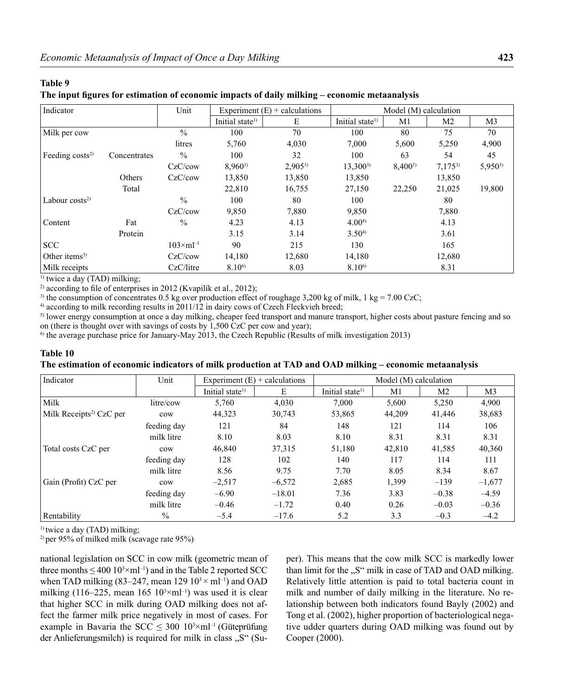#### The input figures for estimation of economic impacts of daily milking – economic metaanalysis

| Indicator                 |              | Unit                  |                             | Experiment $(E)$ + calculations |                             | Model (M) calculation |                |             |
|---------------------------|--------------|-----------------------|-----------------------------|---------------------------------|-----------------------------|-----------------------|----------------|-------------|
|                           |              |                       | Initial state <sup>1)</sup> | E                               | Initial state <sup>1)</sup> | M1                    | M <sub>2</sub> | M3          |
| Milk per cow              |              | $\frac{0}{0}$         | 100                         | 70                              | 100                         | 80                    | 75             | 70          |
|                           |              | litres                | 5,760                       | 4,030                           | 7,000                       | 5,600                 | 5,250          | 4,900       |
| Feeding $costs2$          | Concentrates | $\frac{0}{0}$         | 100                         | 32                              | 100                         | 63                    | 54             | 45          |
|                           |              | CzC/cow               | $8,960^{3}$                 | $2,905^{3}$                     | $13,300^{3}$                | $8,400^{3}$           | $7,175^{3}$    | $5,950^{3}$ |
|                           | Others       | CzC/cow               | 13,850                      | 13,850                          | 13,850                      |                       | 13,850         |             |
|                           | Total        |                       | 22,810                      | 16,755                          | 27,150                      | 22,250                | 21,025         | 19,800      |
| Labour $costs2$           |              | $\frac{0}{0}$         | 100                         | 80                              | 100                         |                       | 80             |             |
|                           |              | CzC/cow               | 9,850                       | 7,880                           | 9,850                       |                       | 7,880          |             |
| Content                   | Fat          | $\frac{0}{0}$         | 4.23                        | 4.13                            | $4.00^{4}$                  |                       | 4.13           |             |
|                           | Protein      |                       | 3.15                        | 3.14                            | $3.50^{4}$                  |                       | 3.61           |             |
| <b>SCC</b>                |              | $103 \times m l^{-1}$ | 90                          | 215                             | 130                         |                       | 165            |             |
| Other items <sup>5)</sup> |              | CzC/cow               | 14,180                      | 12,680                          | 14,180                      |                       | 12,680         |             |
| Milk receipts             |              | CzC/litre             | $8.10^{6}$                  | 8.03                            | $8.10^{6}$                  |                       | 8.31           |             |

 $<sup>1</sup>$  twice a day (TAD) milking;</sup>

<sup>2)</sup> according to file of enterprises in 2012 (Kvapilík et al., 2012);

<sup>3)</sup> the consumption of concentrates 0.5 kg over production effect of roughage 3,200 kg of milk, 1 kg = 7.00 CzC;

 $<sup>4)</sup>$  according to milk recording results in 2011/12 in dairy cows of Czech Fleckvieh breed;</sup>

<sup>5)</sup> lower energy consumption at once a day milking, cheaper feed transport and manure transport, higher costs about pasture fencing and so on (there is thought over with savings of costs by 1,500 CzC per cow and year);

6) the average purchase price for January-May 2013, the Czech Republic (Results of milk investigation 2013)

## **Table 10**

**The estimation of economic indicators of milk production at TAD and OAD milking – economic metaanalysis**

| Indicator                           | Unit        | Experiment $(E)$ + calculations |          |                             | Model (M) calculation |                |          |
|-------------------------------------|-------------|---------------------------------|----------|-----------------------------|-----------------------|----------------|----------|
|                                     |             | Initial state <sup>1)</sup>     | E        | Initial state <sup>1)</sup> | M1                    | M <sub>2</sub> | M3       |
| Milk                                | litre/cow   | 5,760                           | 4,030    | 7.000                       | 5,600                 | 5,250          | 4,900    |
| Milk Receipts <sup>2)</sup> CzC per | cow         | 44,323                          | 30,743   | 53,865                      | 44,209                | 41,446         | 38,683   |
|                                     | feeding day | 121                             | 84       | 148                         | 121                   | 114            | 106      |
|                                     | milk litre  | 8.10                            | 8.03     | 8.10                        | 8.31                  | 8.31           | 8.31     |
| Total costs CzC per                 | cow         | 46,840                          | 37,315   | 51,180                      | 42,810                | 41,585         | 40,360   |
|                                     | feeding day | 128                             | 102      | 140                         | 117                   | 114            | 111      |
|                                     | milk litre  | 8.56                            | 9.75     | 7.70                        | 8.05                  | 8.34           | 8.67     |
| Gain (Profit) CzC per               | cow         | $-2,517$                        | $-6,572$ | 2,685                       | 1,399                 | $-139$         | $-1,677$ |
|                                     | feeding day | $-6.90$                         | $-18.01$ | 7.36                        | 3.83                  | $-0.38$        | $-4.59$  |
|                                     | milk litre  | $-0.46$                         | $-1.72$  | 0.40                        | 0.26                  | $-0.03$        | $-0.36$  |
| Rentability                         | $\%$        | $-5.4$                          | $-17.6$  | 5.2                         | 3.3                   | $-0.3$         | $-4.2$   |

<sup>1)</sup> twice a day (TAD) milking;

2) per 95% of milked milk (scavage rate 95%)

national legislation on SCC in cow milk (geometric mean of three months  $\leq 400 \, 10^{3} \times$ ml<sup>-1</sup>) and in the Table 2 reported SCC when TAD milking (83–247, mean 129  $10<sup>3</sup> \times$  ml<sup>-1</sup>) and OAD milking  $(116-225, \text{ mean } 165 \ 10^{3} \times \text{ml}^{-1})$  was used it is clear that higher SCC in milk during OAD milking does not affect the farmer milk price negatively in most of cases. For example in Bavaria the  $SCC \leq 300 \ 10^{3} \times ml^{-1}$  (Güteprüfung der Anlieferungsmilch) is required for milk in class "S" (Super). This means that the cow milk SCC is markedly lower than limit for the "S" milk in case of TAD and OAD milking. Relatively little attention is paid to total bacteria count in milk and number of daily milking in the literature. No relationship between both indicators found Bayly (2002) and Tong et al. (2002), higher proportion of bacteriological negative udder quarters during OAD milking was found out by Cooper (2000).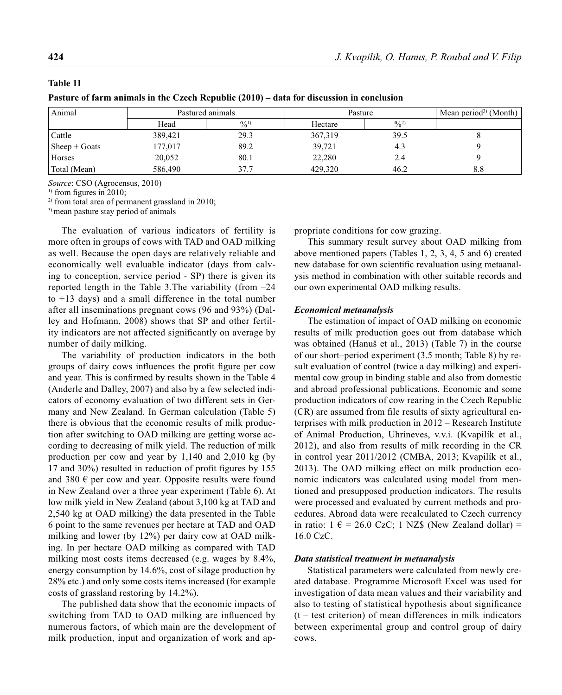| Animal                | Pastured animals |           |         | Pasture   |         |
|-----------------------|------------------|-----------|---------|-----------|---------|
|                       | Head             | $^{0/1)}$ | Hectare | $^{0/2)}$ |         |
| Cattle                | 389,421          | 29.3      | 367,319 | 39.5      | $\circ$ |
| $\vert$ Sheep + Goats | 177,017          | 89.2      | 39,721  | 4.3       |         |
| Horses                | 20,052           | 80.1      | 22,280  | 2.4       |         |
| Total (Mean)          | 586,490          | 37.7      | 429,320 | 46.2      | 8.8     |

**Pasture of farm animals in the Czech Republic (2010) – data for discussion in conclusion**

*Source*: CSO (Agrocensus, 2010)

 $1)$  from figures in 2010;

 $2)$  from total area of permanent grassland in 2010;

3) mean pasture stay period of animals

The evaluation of various indicators of fertility is more often in groups of cows with TAD and OAD milking as well. Because the open days are relatively reliable and economically well evaluable indicator (days from calving to conception, service period - SP) there is given its reported length in the Table 3.The variability (from –24 to +13 days) and a small difference in the total number after all inseminations pregnant cows (96 and 93%) (Dalley and Hofmann, 2008) shows that SP and other fertility indicators are not affected significantly on average by number of daily milking.

The variability of production indicators in the both groups of dairy cows influences the profit figure per cow and year. This is confirmed by results shown in the Table 4 (Anderle and Dalley, 2007) and also by a few selected indicators of economy evaluation of two different sets in Germany and New Zealand. In German calculation (Table 5) there is obvious that the economic results of milk production after switching to OAD milking are getting worse according to decreasing of milk yield. The reduction of milk production per cow and year by 1,140 and 2,010 kg (by 17 and 30%) resulted in reduction of profit figures by  $155$ and 380  $\epsilon$  per cow and year. Opposite results were found in New Zealand over a three year experiment (Table 6). At low milk yield in New Zealand (about 3,100 kg at TAD and 2,540 kg at OAD milking) the data presented in the Table 6 point to the same revenues per hectare at TAD and OAD milking and lower (by 12%) per dairy cow at OAD milking. In per hectare OAD milking as compared with TAD milking most costs items decreased (e.g. wages by 8.4%, energy consumption by 14.6%, cost of silage production by 28% etc.) and only some costs items increased (for example costs of grassland restoring by 14.2%).

The published data show that the economic impacts of switching from TAD to OAD milking are influenced by numerous factors, of which main are the development of milk production, input and organization of work and appropriate conditions for cow grazing.

This summary result survey about OAD milking from above mentioned papers (Tables 1, 2, 3, 4, 5 and 6) created new database for own scientific revaluation using metaanalysis method in combination with other suitable records and our own experimental OAD milking results.

## *Economical metaanalysis*

The estimation of impact of OAD milking on economic results of milk production goes out from database which was obtained (Hanuš et al., 2013) (Table 7) in the course of our short–period experiment (3.5 month; Table 8) by result evaluation of control (twice a day milking) and experimental cow group in binding stable and also from domestic and abroad professional publications. Economic and some production indicators of cow rearing in the Czech Republic  $(CR)$  are assumed from file results of sixty agricultural enterprises with milk production in 2012 – Research Institute of Animal Production, Uhríneves, v.v.i. (Kvapilík et al., 2012), and also from results of milk recording in the CR in control year 2011/2012 (CMBA, 2013; Kvapilík et al., 2013). The OAD milking effect on milk production economic indicators was calculated using model from mentioned and presupposed production indicators. The results were processed and evaluated by current methods and procedures. Abroad data were recalculated to Czech currency in ratio:  $1 \epsilon = 26.0$  CzC; 1 NZ\$ (New Zealand dollar) = 16.0 CzC.

## *Data statistical treatment in metaanalysis*

Statistical parameters were calculated from newly created database. Programme Microsoft Excel was used for investigation of data mean values and their variability and also to testing of statistical hypothesis about significance  $(t - test criterion)$  of mean differences in milk indicators between experimental group and control group of dairy cows.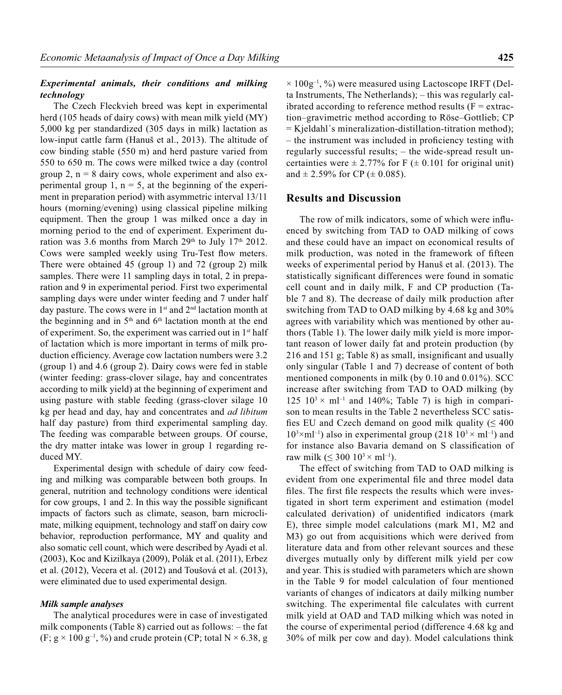## *Experimental animals, their conditions and milking technology*

The Czech Fleckvieh breed was kept in experimental herd (105 heads of dairy cows) with mean milk yield (MY) 5,000 kg per standardized (305 days in milk) lactation as low-input cattle farm (Hanuš et al., 2013). The altitude of cow binding stable (550 m) and herd pasture varied from 550 to 650 m. The cows were milked twice a day (control group 2,  $n = 8$  dairy cows, whole experiment and also experimental group 1,  $n = 5$ , at the beginning of the experiment in preparation period) with asymmetric interval 13/11 hours (morning/evening) using classical pipeline milking equipment. Then the group 1 was milked once a day in morning period to the end of experiment. Experiment duration was 3.6 months from March  $29<sup>th</sup>$  to July 17<sup>th</sup> 2012. Cows were sampled weekly using Tru-Test flow meters. There were obtained 45 (group 1) and 72 (group 2) milk samples. There were 11 sampling days in total, 2 in preparation and 9 in experimental period. First two experimental sampling days were under winter feeding and 7 under half day pasture. The cows were in  $1<sup>st</sup>$  and  $2<sup>nd</sup>$  lactation month at the beginning and in  $5<sup>th</sup>$  and  $6<sup>th</sup>$  lactation month at the end of experiment. So, the experiment was carried out in 1st half of lactation which is more important in terms of milk production efficiency. Average cow lactation numbers were 3.2 (group 1) and 4.6 (group 2). Dairy cows were fed in stable (winter feeding: grass-clover silage, hay and concentrates according to milk yield) at the beginning of experiment and using pasture with stable feeding (grass-clover silage 10 kg per head and day, hay and concentrates and *ad libitum*  half day pasture) from third experimental sampling day. The feeding was comparable between groups. Of course, the dry matter intake was lower in group 1 regarding reduced MY.

Experimental design with schedule of dairy cow feeding and milking was comparable between both groups. In general, nutrition and technology conditions were identical for cow groups, 1 and 2. In this way the possible significant impacts of factors such as climate, season, barn microclimate, milking equipment, technology and staff on dairy cow behavior, reproduction performance, MY and quality and also somatic cell count, which were described by Ayadi et al. (2003), Koc and Kizilkaya (2009), Polák et al. (2011), Erbez et al. (2012), Vecera et al. (2012) and Toušová et al. (2013), were eliminated due to used experimental design.

## *Milk sample analyses*

The analytical procedures were in case of investigated milk components (Table 8) carried out as follows: – the fat  $(F; g \times 100 \, g^{-1}, %$  and crude protein (CP; total N  $\times$  6.38, g

 $\times$  100g<sup>-1</sup>, %) were measured using Lactoscope IRFT (Delta Instruments, The Netherlands); – this was regularly calibrated according to reference method results  $(F = extrac$ tion–gravimetric method according to Röse–Gottlieb; CP = Kjeldahl´s mineralization-distillation-titration method);  $-$  the instrument was included in proficiency testing with regularly successful results; – the wide-spread result uncertainties were  $\pm 2.77\%$  for F ( $\pm 0.101$  for original unit) and  $\pm$  2.59% for CP ( $\pm$  0.085).

## **Results and Discussion**

The row of milk indicators, some of which were influenced by switching from TAD to OAD milking of cows and these could have an impact on economical results of milk production, was noted in the framework of fifteen weeks of experimental period by Hanuš et al. (2013). The statistically significant differences were found in somatic cell count and in daily milk, F and CP production (Table 7 and 8). The decrease of daily milk production after switching from TAD to OAD milking by 4.68 kg and 30% agrees with variability which was mentioned by other authors (Table 1). The lower daily milk yield is more important reason of lower daily fat and protein production (by  $216$  and  $151$  g; Table 8) as small, insignificant and usually only singular (Table 1 and 7) decrease of content of both mentioned components in milk (by 0.10 and 0.01%). SCC increase after switching from TAD to OAD milking (by  $125 \frac{10^3 \times m l^{-1}}{24}$  and  $140\%$ ; Table 7) is high in comparison to mean results in the Table 2 nevertheless SCC satisfies EU and Czech demand on good milk quality ( $\leq 400$ )  $10^{3}$ ×ml<sup>-1</sup>) also in experimental group (218  $10^{3}$  × ml<sup>-1</sup>) and for instance also Bavaria demand on S classification of raw milk ( $\leq 300$   $10^3 \times$  ml<sup>-1</sup>).

The effect of switching from TAD to OAD milking is evident from one experimental file and three model data files. The first file respects the results which were investigated in short term experiment and estimation (model calculated derivation) of unidentified indicators (mark E), three simple model calculations (mark M1, M2 and M3) go out from acquisitions which were derived from literature data and from other relevant sources and these diverges mutually only by different milk yield per cow and year. This is studied with parameters which are shown in the Table 9 for model calculation of four mentioned variants of changes of indicators at daily milking number switching. The experimental file calculates with current milk yield at OAD and TAD milking which was noted in the course of experimental period (difference 4.68 kg and 30% of milk per cow and day). Model calculations think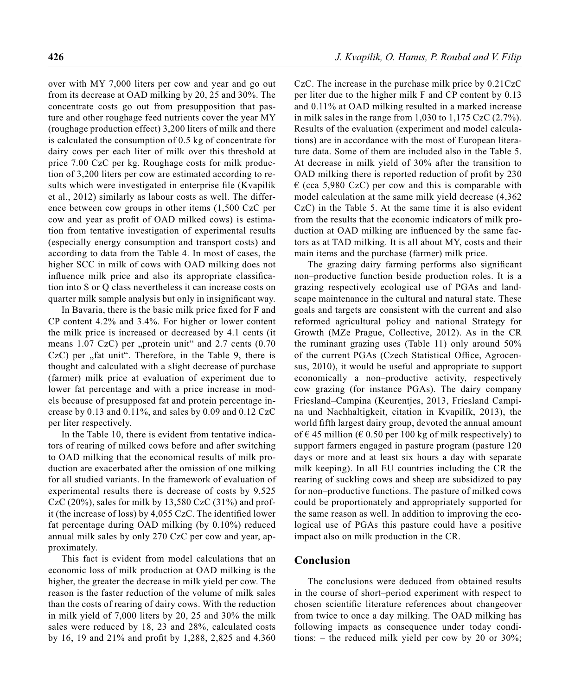over with MY 7,000 liters per cow and year and go out from its decrease at OAD milking by 20, 25 and 30%. The concentrate costs go out from presupposition that pasture and other roughage feed nutrients cover the year MY (roughage production effect) 3,200 liters of milk and there is calculated the consumption of 0.5 kg of concentrate for dairy cows per each liter of milk over this threshold at price 7.00 CzC per kg. Roughage costs for milk production of 3,200 liters per cow are estimated according to results which were investigated in enterprise file (Kvapilík et al., 2012) similarly as labour costs as well. The difference between cow groups in other items (1,500 CzC per cow and year as profit of OAD milked cows) is estimation from tentative investigation of experimental results (especially energy consumption and transport costs) and according to data from the Table 4. In most of cases, the higher SCC in milk of cows with OAD milking does not influence milk price and also its appropriate classification into S or Q class nevertheless it can increase costs on quarter milk sample analysis but only in insignificant way.

In Bavaria, there is the basic milk price fixed for F and CP content 4.2% and 3.4%. For higher or lower content the milk price is increased or decreased by 4.1 cents (it means  $1.07$  CzC) per "protein unit" and  $2.7$  cents  $(0.70)$  $CzC$ ) per "fat unit". Therefore, in the Table 9, there is thought and calculated with a slight decrease of purchase (farmer) milk price at evaluation of experiment due to lower fat percentage and with a price increase in models because of presupposed fat and protein percentage increase by 0.13 and 0.11%, and sales by 0.09 and 0.12 CzC per liter respectively.

In the Table 10, there is evident from tentative indicators of rearing of milked cows before and after switching to OAD milking that the economical results of milk production are exacerbated after the omission of one milking for all studied variants. In the framework of evaluation of experimental results there is decrease of costs by 9,525 CzC  $(20\%)$ , sales for milk by 13,580 CzC  $(31\%)$  and profit (the increase of loss) by  $4,055$  CzC. The identified lower fat percentage during OAD milking (by 0.10%) reduced annual milk sales by only 270 CzC per cow and year, approximately.

This fact is evident from model calculations that an economic loss of milk production at OAD milking is the higher, the greater the decrease in milk yield per cow. The reason is the faster reduction of the volume of milk sales than the costs of rearing of dairy cows. With the reduction in milk yield of 7,000 liters by 20, 25 and 30% the milk sales were reduced by 18, 23 and 28%, calculated costs by 16, 19 and 21% and profit by 1,288, 2,825 and 4,360 CzC. The increase in the purchase milk price by 0.21CzC per liter due to the higher milk F and CP content by 0.13 and 0.11% at OAD milking resulted in a marked increase in milk sales in the range from 1,030 to 1,175 CzC (2.7%). Results of the evaluation (experiment and model calculations) are in accordance with the most of European literature data. Some of them are included also in the Table 5. At decrease in milk yield of 30% after the transition to OAD milking there is reported reduction of profit by 230  $\epsilon$  (cca 5,980 CzC) per cow and this is comparable with model calculation at the same milk yield decrease (4,362 CzC) in the Table 5. At the same time it is also evident from the results that the economic indicators of milk production at OAD milking are influenced by the same factors as at TAD milking. It is all about MY, costs and their main items and the purchase (farmer) milk price.

The grazing dairy farming performs also significant non–productive function beside production roles. It is a grazing respectively ecological use of PGAs and landscape maintenance in the cultural and natural state. These goals and targets are consistent with the current and also reformed agricultural policy and national Strategy for Growth (MZe Prague, Collective, 2012). As in the CR the ruminant grazing uses (Table 11) only around 50% of the current PGAs (Czech Statistical Office, Agrocensus, 2010), it would be useful and appropriate to support economically a non–productive activity, respectively cow grazing (for instance PGAs). The dairy company Friesland–Campina (Keurentjes, 2013, Friesland Campina und Nachhaltigkeit, citation in Kvapilík, 2013), the world fifth largest dairy group, devoted the annual amount of € 45 million (€ 0.50 per 100 kg of milk respectively) to support farmers engaged in pasture program (pasture 120 days or more and at least six hours a day with separate milk keeping). In all EU countries including the CR the rearing of suckling cows and sheep are subsidized to pay for non–productive functions. The pasture of milked cows could be proportionately and appropriately supported for the same reason as well. In addition to improving the ecological use of PGAs this pasture could have a positive impact also on milk production in the CR.

## **Conclusion**

The conclusions were deduced from obtained results in the course of short–period experiment with respect to chosen scientific literature references about changeover from twice to once a day milking. The OAD milking has following impacts as consequence under today conditions: – the reduced milk yield per cow by 20 or 30%;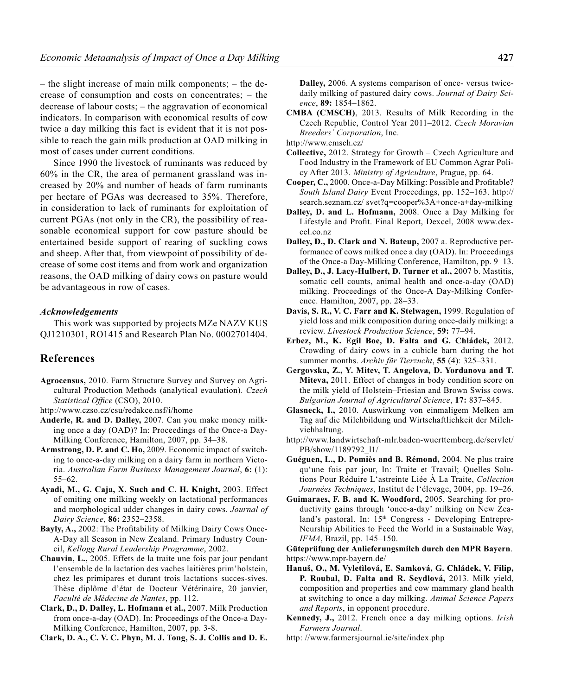– the slight increase of main milk components; – the decrease of consumption and costs on concentrates; – the decrease of labour costs; – the aggravation of economical indicators. In comparison with economical results of cow twice a day milking this fact is evident that it is not possible to reach the gain milk production at OAD milking in most of cases under current conditions.

Since 1990 the livestock of ruminants was reduced by 60% in the CR, the area of permanent grassland was increased by 20% and number of heads of farm ruminants per hectare of PGAs was decreased to 35%. Therefore, in consideration to lack of ruminants for exploitation of current PGAs (not only in the CR), the possibility of reasonable economical support for cow pasture should be entertained beside support of rearing of suckling cows and sheep. After that, from viewpoint of possibility of decrease of some cost items and from work and organization reasons, the OAD milking of dairy cows on pasture would be advantageous in row of cases.

#### *Acknowledgements*

This work was supported by projects MZe NAZV KUS QJ1210301, RO1415 and Research Plan No. 0002701404.

## **References**

**Agrocensus,** 2010. Farm Structure Survey and Survey on Agricultural Production Methods (analytical evaulation). *Czech Statistical Office* (CSO), 2010.

http://www.czso.cz/csu/redakce.nsf/i/home

- **Anderle, R. and D. Dalley,** 2007. Can you make money milking once a day (OAD)? In: Proceedings of the Once-a Day-Milking Conference, Hamilton, 2007, pp. 34–38.
- **Armstrong, D. P. and C. Ho,** 2009. Economic impact of switching to once-a-day milking on a dairy farm in northern Victoria. *Australian Farm Business Management Journal*, **6:** (1): 55–62.
- **Ayadi, M., G. Caja, X. Such and C. H. Knight,** 2003. Effect of omiting one milking weekly on lactational performances and morphological udder changes in dairy cows. *Journal of Dairy Science*, **86:** 2352–2358.
- Bayly, A., 2002: The Profitability of Milking Dairy Cows Once-A-Day all Season in New Zealand. Primary Industry Council, *Kellogg Rural Leadership Programme*, 2002.
- **Chauvin, L.,** 2005. Effets de la traite une fois par jour pendant l'ensemble de la lactation des vaches laitières prim'holstein, chez les primipares et durant trois lactations succes-sives. Thèse diplôme d'état de Docteur Vétérinaire, 20 janvier, *Faculté de Médecine de Nantes*, pp. 112.
- **Clark, D., D. Dalley, L. Hofmann et al.,** 2007. Milk Production from once-a-day (OAD). In: Proceedings of the Once-a Day-Milking Conference, Hamilton, 2007, pp. 3-8.
- **Clark, D. A., C. V. C. Phyn, M. J. Tong, S. J. Collis and D. E.**

**Dalley,** 2006. A systems comparison of once- versus twicedaily milking of pastured dairy cows. *Journal of Dairy Science*, **89:** 1854–1862.

**CMBA (CMSCH)**, 2013. Results of Milk Recording in the Czech Republic, Control Year 2011–2012. *Czech Moravian Breeders´ Corporation*, Inc.

http://www.cmsch.cz/

- **Collective,** 2012. Strategy for Growth Czech Agriculture and Food Industry in the Framework of EU Common Agrar Policy After 2013. *Ministry of Agriculture*, Prague, pp. 64.
- Cooper, C., 2000. Once-a-Day Milking: Possible and Profitable? *South Island Dairy* Event Proceedings, pp. 152–163. http:// search.seznam.cz/ svet?q=cooper%3A+once-a+day-milking
- **Dalley, D. and L. Hofmann,** 2008. Once a Day Milking for Lifestyle and Profit. Final Report, Dexcel, 2008 www.dexcel.co.nz
- **Dalley, D., D. Clark and N. Bateup,** 2007 a. Reproductive performance of cows milked once a day (OAD). In: Proceedings of the Once-a Day-Milking Conference, Hamilton, pp. 9–13.
- **Dalley, D., J. Lacy-Hulbert, D. Turner et al.,** 2007 b. Mastitis, somatic cell counts, animal health and once-a-day (OAD) milking. Proceedings of the Once-A Day-Milking Conference. Hamilton, 2007, pp. 28–33.
- **Davis, S. R., V. C. Farr and K. Stelwagen,** 1999. Regulation of yield loss and milk composition during once-daily milking: a review. *Livestock Production Science*, **59:** 77–94.
- **Erbez, M., K. Egil Boe, D. Falta and G. Chládek,** 2012. Crowding of dairy cows in a cubicle barn during the hot summer months. *Archiv für Tierzucht*, **55** (4): 325–331.
- **Gergovska, Z., Y. Mitev, T. Angelova, D. Yordanova and T. Miteva,** 2011. Effect of changes in body condition score on the milk yield of Holstein–Friesian and Brown Swiss cows. *Bulgarian Journal of Agricultural Science*, **17:** 837–845.
- **Glasneck, I.,** 2010. Auswirkung von einmaligem Melken am Tag auf die Milchbildung und Wirtschaftlichkeit der Milchviehhaltung.
- http://www.landwirtschaft-mlr.baden-wuerttemberg.de/servlet/ PB/show/1189792\_l1/
- **Guéguen, L., D. Pomiès and B. Rémond,** 2004. Ne plus traire qu'une fois par jour, In: Traite et Travail; Quelles Solutions Pour Réduire L'astreinte Liée À La Traite, *Collection Journées Techniques*, Institut de l'élevage, 2004, pp. 19–26.
- **Guimaraes, F. B. and K. Woodford,** 2005. Searching for productivity gains through 'once-a-day' milking on New Zealand's pastoral. In: 15<sup>th</sup> Congress - Developing Entrepre-Neurship Abilities to Feed the World in a Sustainable Way, *IFMA*, Brazil, pp. 145–150.

**Güteprüfung der Anlieferungsmilch durch den MPR Bayern**. https://www.mpr-bayern.de/

- **Hanuš, O., M. Vyletìlová, E. Samková, G. Chládek, V. Filip, P. Roubal, D. Falta and R. Seydlová,** 2013. Milk yield, composition and properties and cow mammary gland health at switching to once a day milking. *Animal Science Papers and Reports*, in opponent procedure.
- **Kennedy, J.,** 2012. French once a day milking options. *Irish Farmers Journal*.
- http: //www.farmersjournal.ie/site/index.php